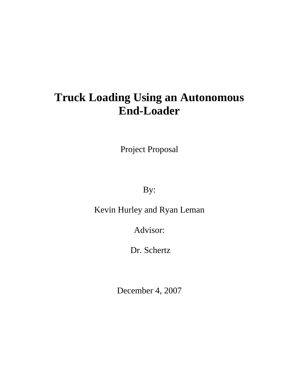# **Truck Loading Using an Autonomous End-Loader**

Project Proposal

By:

Kevin Hurley and Ryan Leman

Advisor:

Dr. Schertz

December 4, 2007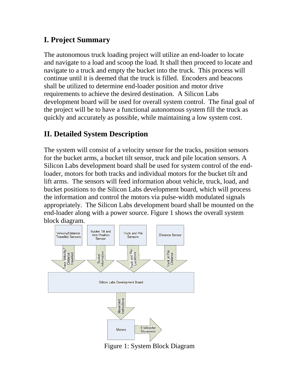# **I. Project Summary**

The autonomous truck loading project will utilize an end-loader to locate and navigate to a load and scoop the load. It shall then proceed to locate and navigate to a truck and empty the bucket into the truck. This process will continue until it is deemed that the truck is filled. Encoders and beacons shall be utilized to determine end-loader position and motor drive requirements to achieve the desired destination. A Silicon Labs development board will be used for overall system control. The final goal of the project will be to have a functional autonomous system fill the truck as quickly and accurately as possible, while maintaining a low system cost.

## **II. Detailed System Description**

The system will consist of a velocity sensor for the tracks, position sensors for the bucket arms, a bucket tilt sensor, truck and pile location sensors. A Silicon Labs development board shall be used for system control of the endloader, motors for both tracks and individual motors for the bucket tilt and lift arms. The sensors will feed information about vehicle, truck, load, and bucket positions to the Silicon Labs development board, which will process the information and control the motors via pulse-width modulated signals appropriately. The Silicon Labs development board shall be mounted on the end-loader along with a power source. Figure 1 shows the overall system block diagram.



Figure 1: System Block Diagram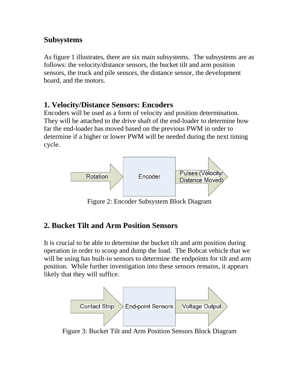#### **Subsystems**

As figure 1 illustrates, there are six main subsystems. The subsystems are as follows: the velocity/distance sensors, the bucket tilt and arm position sensors, the truck and pile sensors, the distance sensor, the development board, and the motors.

#### **1. Velocity/Distance Sensors: Encoders**

Encoders will be used as a form of velocity and position determination. They will be attached to the drive shaft of the end-loader to determine how far the end-loader has moved based on the previous PWM in order to determine if a higher or lower PWM will be needed during the next timing cycle.



Figure 2: Encoder Subsystem Block Diagram

# **2. Bucket Tilt and Arm Position Sensors**

It is crucial to be able to determine the bucket tilt and arm position during operation in order to scoop and dump the load. The Bobcat vehicle that we will be using has built-in sensors to determine the endpoints for tilt and arm position. While further investigation into these sensors remains, it appears likely that they will suffice.



Figure 3: Bucket Tilt and Arm Position Sensors Block Diagram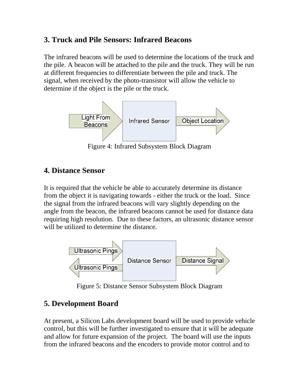## **3. Truck and Pile Sensors: Infrared Beacons**

The infrared beacons will be used to determine the locations of the truck and the pile. A beacon will be attached to the pile and the truck. They will be run at different frequencies to differentiate between the pile and truck. The signal, when received by the photo-transistor will allow the vehicle to determine if the object is the pile or the truck.



Figure 4: Infrared Subsystem Block Diagram

## **4. Distance Sensor**

It is required that the vehicle be able to accurately determine its distance from the object it is navigating towards - either the truck or the load. Since the signal from the infrared beacons will vary slightly depending on the angle from the beacon, the infrared beacons cannot be used for distance data requiring high resolution. Due to these factors, an ultrasonic distance sensor will be utilized to determine the distance.



Figure 5: Distance Sensor Subsystem Block Diagram

# **5. Development Board**

At present, a Silicon Labs development board will be used to provide vehicle control, but this will be further investigated to ensure that it will be adequate and allow for future expansion of the project. The board will use the inputs from the infrared beacons and the encoders to provide motor control and to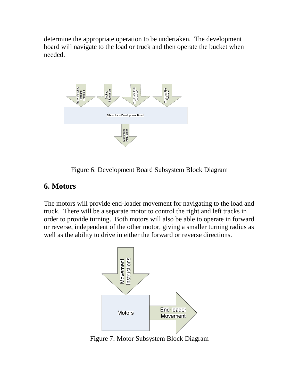determine the appropriate operation to be undertaken. The development board will navigate to the load or truck and then operate the bucket when needed.



Figure 6: Development Board Subsystem Block Diagram

#### **6. Motors**

The motors will provide end-loader movement for navigating to the load and truck. There will be a separate motor to control the right and left tracks in order to provide turning. Both motors will also be able to operate in forward or reverse, independent of the other motor, giving a smaller turning radius as well as the ability to drive in either the forward or reverse directions.



Figure 7: Motor Subsystem Block Diagram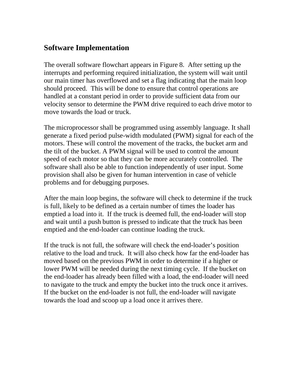## **Software Implementation**

The overall software flowchart appears in Figure 8. After setting up the interrupts and performing required initialization, the system will wait until our main timer has overflowed and set a flag indicating that the main loop should proceed. This will be done to ensure that control operations are handled at a constant period in order to provide sufficient data from our velocity sensor to determine the PWM drive required to each drive motor to move towards the load or truck.

The microprocessor shall be programmed using assembly language. It shall generate a fixed period pulse-width modulated (PWM) signal for each of the motors. These will control the movement of the tracks, the bucket arm and the tilt of the bucket. A PWM signal will be used to control the amount speed of each motor so that they can be more accurately controlled. The software shall also be able to function independently of user input. Some provision shall also be given for human intervention in case of vehicle problems and for debugging purposes.

After the main loop begins, the software will check to determine if the truck is full, likely to be defined as a certain number of times the loader has emptied a load into it. If the truck is deemed full, the end-loader will stop and wait until a push button is pressed to indicate that the truck has been emptied and the end-loader can continue loading the truck.

If the truck is not full, the software will check the end-loader's position relative to the load and truck. It will also check how far the end-loader has moved based on the previous PWM in order to determine if a higher or lower PWM will be needed during the next timing cycle. If the bucket on the end-loader has already been filled with a load, the end-loader will need to navigate to the truck and empty the bucket into the truck once it arrives. If the bucket on the end-loader is not full, the end-loader will navigate towards the load and scoop up a load once it arrives there.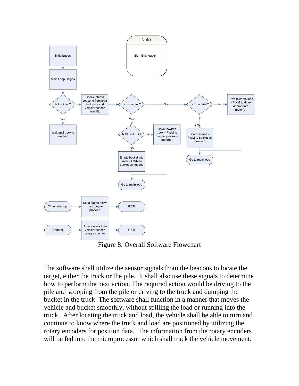

Figure 8: Overall Software Flowchart

The software shall utilize the sensor signals from the beacons to locate the target, either the truck or the pile. It shall also use these signals to determine how to perform the next action. The required action would be driving to the pile and scooping from the pile or driving to the truck and dumping the bucket in the truck. The software shall function in a manner that moves the vehicle and bucket smoothly, without spilling the load or running into the truck. After locating the truck and load, the vehicle shall be able to turn and continue to know where the truck and load are positioned by utilizing the rotary encoders for position data. The information from the rotary encoders will be fed into the microprocessor which shall track the vehicle movement.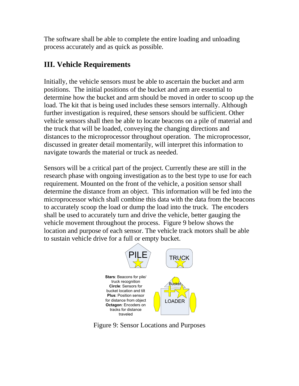The software shall be able to complete the entire loading and unloading process accurately and as quick as possible.

# **III. Vehicle Requirements**

Initially, the vehicle sensors must be able to ascertain the bucket and arm positions. The initial positions of the bucket and arm are essential to determine how the bucket and arm should be moved in order to scoop up the load. The kit that is being used includes these sensors internally. Although further investigation is required, these sensors should be sufficient. Other vehicle sensors shall then be able to locate beacons on a pile of material and the truck that will be loaded, conveying the changing directions and distances to the microprocessor throughout operation. The microprocessor, discussed in greater detail momentarily, will interpret this information to navigate towards the material or truck as needed.

Sensors will be a critical part of the project. Currently these are still in the research phase with ongoing investigation as to the best type to use for each requirement. Mounted on the front of the vehicle, a position sensor shall determine the distance from an object. This information will be fed into the microprocessor which shall combine this data with the data from the beacons to accurately scoop the load or dump the load into the truck. The encoders shall be used to accurately turn and drive the vehicle, better gauging the vehicle movement throughout the process. Figure 9 below shows the location and purpose of each sensor. The vehicle track motors shall be able to sustain vehicle drive for a full or empty bucket.



Figure 9: Sensor Locations and Purposes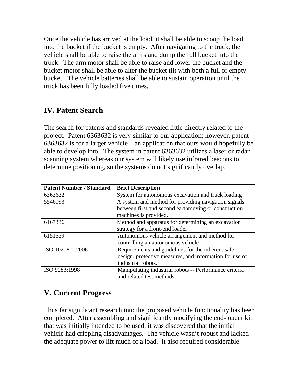Once the vehicle has arrived at the load, it shall be able to scoop the load into the bucket if the bucket is empty. After navigating to the truck, the vehicle shall be able to raise the arms and dump the full bucket into the truck. The arm motor shall be able to raise and lower the bucket and the bucket motor shall be able to alter the bucket tilt with both a full or empty bucket. The vehicle batteries shall be able to sustain operation until the truck has been fully loaded five times.

## **IV. Patent Search**

The search for patents and standards revealed little directly related to the project. Patent 6363632 is very similar to our application; however, patent 6363632 is for a larger vehicle – an application that ours would hopefully be able to develop into. The system in patent 6363632 utilizes a laser or radar scanning system whereas our system will likely use infrared beacons to determine positioning, so the systems do not significantly overlap.

| <b>Patent Number / Standard</b> | <b>Brief Description</b>                                |  |  |
|---------------------------------|---------------------------------------------------------|--|--|
| 6363632                         | System for autonomous excavation and truck loading      |  |  |
| 5546093                         | A system and method for providing navigation signals    |  |  |
|                                 | between first and second earthmoving or construction    |  |  |
|                                 | machines is provided.                                   |  |  |
| 6167336                         | Method and apparatus for determining an excavation      |  |  |
|                                 | strategy for a front-end loader                         |  |  |
| 6151539                         | Autonomous vehicle arrangement and method for           |  |  |
|                                 | controlling an autonomous vehicle                       |  |  |
| ISO 10218-1:2006                | Requirements and guidelines for the inherent safe       |  |  |
|                                 | design, protective measures, and information for use of |  |  |
|                                 | industrial robots.                                      |  |  |
| ISO 9283:1998                   | Manipulating industrial robots -- Performance criteria  |  |  |
|                                 | and related test methods                                |  |  |

## **V. Current Progress**

Thus far significant research into the proposed vehicle functionality has been completed. After assembling and significantly modifying the end-loader kit that was initially intended to be used, it was discovered that the initial vehicle had crippling disadvantages. The vehicle wasn't robust and lacked the adequate power to lift much of a load. It also required considerable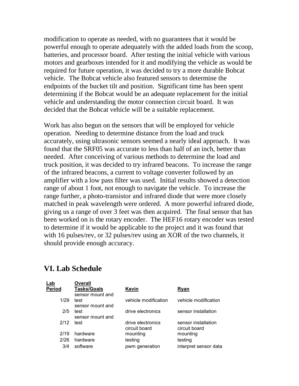modification to operate as needed, with no guarantees that it would be powerful enough to operate adequately with the added loads from the scoop, batteries, and processor board. After testing the initial vehicle with various motors and gearboxes intended for it and modifying the vehicle as would be required for future operation, it was decided to try a more durable Bobcat vehicle. The Bobcat vehicle also featured sensors to determine the endpoints of the bucket tilt and position. Significant time has been spent determining if the Bobcat would be an adequate replacement for the initial vehicle and understanding the motor connection circuit board. It was decided that the Bobcat vehicle will be a suitable replacement.

Work has also begun on the sensors that will be employed for vehicle operation. Needing to determine distance from the load and truck accurately, using ultrasonic sensors seemed a nearly ideal approach. It was found that the SRF05 was accurate to less than half of an inch, better than needed. After conceiving of various methods to determine the load and truck position, it was decided to try infrared beacons. To increase the range of the infrared beacons, a current to voltage converter followed by an amplifier with a low pass filter was used. Initial results showed a detection range of about 1 foot, not enough to navigate the vehicle. To increase the range further, a photo-transistor and infrared diode that were more closely matched in peak wavelength were ordered. A more powerful infrared diode, giving us a range of over 3 feet was then acquired. The final sensor that has been worked on is the rotary encoder. The HEF16 rotary encoder was tested to determine if it would be applicable to the project and it was found that with 16 pulses/rev, or 32 pulses/rev using an XOR of the two channels, it should provide enough accuracy.

#### **VI. Lab Schedule**

| Lab           | <b>Overall</b>     |                      |                       |
|---------------|--------------------|----------------------|-----------------------|
| <b>Period</b> | <b>Tasks/Goals</b> | Kevin                | Ryan                  |
|               | sensor mount and   |                      |                       |
| 1/29          | test               | vehicle modification | vehicle modification  |
|               | sensor mount and   |                      |                       |
| 2/5           | test               | drive electronics    | sensor installation   |
|               | sensor mount and   |                      |                       |
| 2/12          | test               | drive electronics    | sensor installation   |
|               |                    | circuit board        | circuit board         |
| 2/19          | hardware           | mounting             | mounting              |
| 2/26          | hardware           | testing              | testing               |
| 3/4           | software           | pwm generation       | interpret sensor data |
|               |                    |                      |                       |